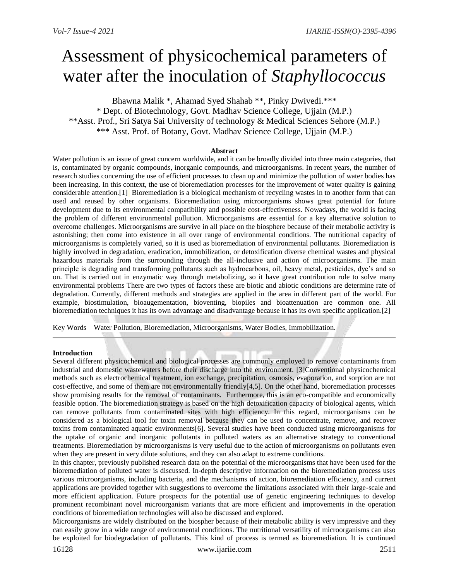# Assessment of physicochemical parameters of water after the inoculation of *Staphyllococcus*

Bhawna Malik \*, Ahamad Syed Shahab \*\*, Pinky Dwivedi.\*\*\* \* Dept. of Biotechnology, Govt. Madhav Science College, Ujjain (M.P.) \*\*Asst. Prof., Sri Satya Sai University of technology & Medical Sciences Sehore (M.P.) \*\*\* Asst. Prof. of Botany, Govt. Madhav Science College, Ujjain (M.P.)

## **Abstract**

Water pollution is an issue of great concern worldwide, and it can be broadly divided into three main categories, that is, contaminated by organic compounds, inorganic compounds, and microorganisms. In recent years, the number of research studies concerning the use of efficient processes to clean up and minimize the pollution of water bodies has been increasing. In this context, the use of bioremediation processes for the improvement of water quality is gaining considerable attention.[1] Bioremediation is a biological mechanism of recycling wastes in to another form that can used and reused by other organisms. Bioremediation using microorganisms shows great potential for future development due to its environmental compatibility and possible cost-effectiveness. Nowadays, the world is facing the problem of different environmental pollution. Microorganisms are essential for a key alternative solution to overcome challenges. Microorganisms are survive in all place on the biosphere because of their metabolic activity is astonishing; then come into existence in all over range of environmental conditions. The nutritional capacity of microorganisms is completely varied, so it is used as bioremediation of environmental pollutants. Bioremediation is highly involved in degradation, eradication, immobilization, or detoxification diverse chemical wastes and physical hazardous materials from the surrounding through the all-inclusive and action of microorganisms. The main principle is degrading and transforming pollutants such as hydrocarbons, oil, heavy metal, pesticides, dye's and so on. That is carried out in enzymatic way through metabolizing, so it have great contribution role to solve many environmental problems There are two types of factors these are biotic and abiotic conditions are determine rate of degradation. Currently, different methods and strategies are applied in the area in different part of the world. For example, biostimulation, bioaugementation, bioventing, biopiles and bioattenuation are common one. All bioremediation techniques it has its own advantage and disadvantage because it has its own specific application.[2]

Key Words – Water Pollution, Bioremediation, Microorganisms, Water Bodies, Immobilization.

## **Introduction**

Several different physicochemical and biological processes are commonly employed to remove contaminants from industrial and domestic wastewaters before their discharge into the environment. [3]Conventional physicochemical methods such as electrochemical treatment, ion exchange, precipitation, osmosis, evaporation, and sorption are not cost-effective, and some of them are not environmentally friendly[4,5]. On the other hand, bioremediation processes show promising results for the removal of contaminants. Furthermore, this is an eco-compatible and economically feasible option. The bioremediation strategy is based on the high detoxification capacity of biological agents, which can remove pollutants from contaminated sites with high efficiency. In this regard, microorganisms can be considered as a biological tool for toxin removal because they can be used to concentrate, remove, and recover toxins from contaminated aquatic environments[6]. Several studies have been conducted using microorganisms for the uptake of organic and inorganic pollutants in polluted waters as an alternative strategy to conventional treatments. Bioremediation by microorganisms is very useful due to the action of microorganisms on pollutants even when they are present in very dilute solutions, and they can also adapt to extreme conditions.

In this chapter, previously published research data on the potential of the microorganisms that have been used for the bioremediation of polluted water is discussed. In-depth descriptive information on the bioremediation process uses various microorganisms, including bacteria, and the mechanisms of action, bioremediation efficiency, and current applications are provided together with suggestions to overcome the limitations associated with their large-scale and more efficient application. Future prospects for the potential use of genetic engineering techniques to develop prominent recombinant novel microorganism variants that are more efficient and improvements in the operation conditions of bioremediation technologies will also be discussed and explored.

Microorganisms are widely distributed on the biospher because of their metabolic ability is very impressive and they can easily grow in a wide range of environmental conditions. The nutritional versatility of microorganisms can also be exploited for biodegradation of pollutants. This kind of process is termed as bioremediation. It is continued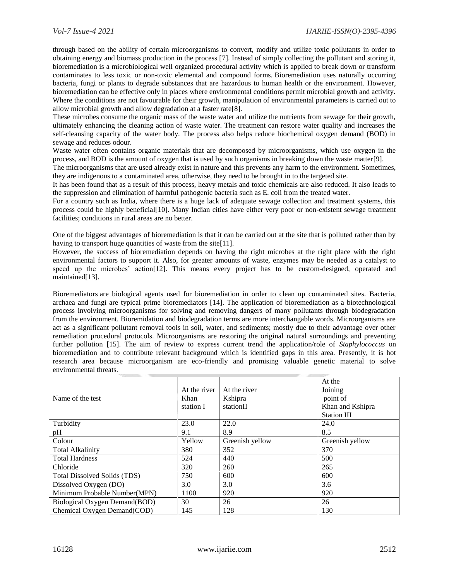through based on the ability of certain microorganisms to convert, modify and utilize toxic pollutants in order to obtaining energy and biomass production in the process [7]. Instead of simply collecting the pollutant and storing it, bioremediation is a microbiological well organized procedural activity which is applied to break down or transform contaminates to less toxic or non-toxic elemental and compound forms. Bioremediation uses naturally occurring bacteria, fungi or plants to degrade substances that are hazardous to human health or the environment. However, bioremediation can be effective only in places where environmental conditions permit microbial growth and activity. Where the conditions are not favourable for their growth, manipulation of environmental parameters is carried out to allow microbial growth and allow degradation at a faster rate[8].

These microbes consume the organic mass of the waste water and utilize the nutrients from sewage for their growth, ultimately enhancing the cleaning action of waste water. The treatment can restore water quality and increases the self-cleansing capacity of the water body. The process also helps reduce biochemical oxygen demand (BOD) in sewage and reduces odour.

Waste water often contains organic materials that are decomposed by microorganisms, which use oxygen in the process, and BOD is the amount of oxygen that is used by such organisms in breaking down the waste matter[9].

The microorganisms that are used already exist in nature and this prevents any harm to the environment. Sometimes, they are indigenous to a contaminated area, otherwise, they need to be brought in to the targeted site.

It has been found that as a result of this process, heavy metals and toxic chemicals are also reduced. It also leads to the suppression and elimination of harmful pathogenic bacteria such as E. coli from the treated water.

For a country such as India, where there is a huge lack of adequate sewage collection and treatment systems, this process could be highly beneficial[10]. Many Indian cities have either very poor or non-existent sewage treatment facilities; conditions in rural areas are no better.

One of the biggest advantages of bioremediation is that it can be carried out at the site that is polluted rather than by having to transport huge quantities of waste from the site[11].

However, the success of bioremediation depends on having the right microbes at the right place with the right environmental factors to support it. Also, for greater amounts of waste, enzymes may be needed as a catalyst to speed up the microbes' action[12]. This means every project has to be custom-designed, operated and maintained[13].

Bioremediators are biological agents used for bioremediation in order to clean up contaminated sites. Bacteria, archaea and fungi are typical prime bioremediators [14]. The application of bioremediation as a biotechnological process involving microorganisms for solving and removing dangers of many pollutants through biodegradation from the environment. Bioremidation and biodegradation terms are more interchangable words. Microorganisms are act as a significant pollutant removal tools in soil, water, and sediments; mostly due to their advantage over other remediation procedural protocols. Microorganisms are restoring the original natural surroundings and preventing further pollution [15]. The aim of review to express current trend the application/role of *Staphylococcus* on bioremediation and to contribute relevant background which is identified gaps in this area. Presently, it is hot research area because microorganism are eco-friendly and promising valuable genetic material to solve environmental threats.

|                               |              |                 | At the             |
|-------------------------------|--------------|-----------------|--------------------|
|                               |              |                 |                    |
|                               | At the river | At the river    | Joining            |
| Name of the test              | Khan         | Kshipra         | point of           |
|                               | station I    | stationII       | Khan and Kshipra   |
|                               |              |                 | <b>Station III</b> |
| Turbidity                     | 23.0         | 22.0            | 24.0               |
| pH                            | 9.1          | 8.9             | 8.5                |
| Colour                        | Yellow       | Greenish yellow | Greenish yellow    |
| <b>Total Alkalinity</b>       | 380          | 352             | 370                |
| <b>Total Hardness</b>         | 524          | 440             | 500                |
| Chloride                      | 320          | 260             | 265                |
| Total Dissolved Solids (TDS)  | 750          | 600             | 600                |
| Dissolved Oxygen (DO)         | 3.0          | 3.0             | 3.6                |
| Minimum Probable Number(MPN)  | 1100         | 920             | 920                |
| Biological Oxygen Demand(BOD) | 30           | 26              | 26                 |
| Chemical Oxygen Demand(COD)   | 145          | 128             | 130                |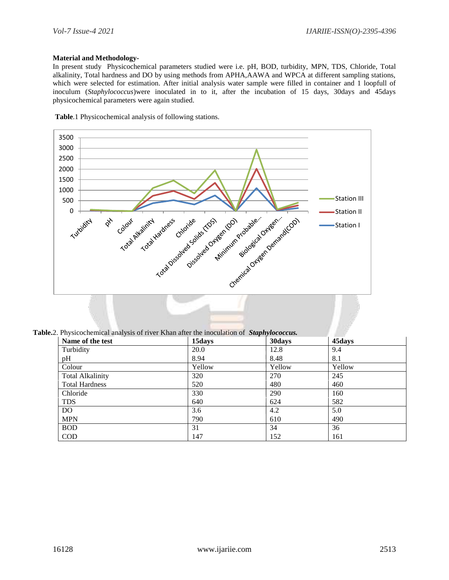## **Material and Methodology-**

In present study Physicochemical parameters studied were i.e. pH, BOD, turbidity, MPN, TDS, Chloride, Total alkalinity, Total hardness and DO by using methods from APHA,AAWA and WPCA at different sampling stations, which were selected for estimation. After initial analysis water sample were filled in container and 1 loopfull of inoculum (*Staphylococcus*)were inoculated in to it, after the incubation of 15 days, 30days and 45days physicochemical parameters were again studied.

 **Table**.1 Physicochemical analysis of following stations.



**Table.**2. Physicochemical analysis of river Khan after the inoculation of *Staphylococcus.*

| Name of the test        | 15days | 30 days | 45days |  |
|-------------------------|--------|---------|--------|--|
| Turbidity               | 20.0   | 12.8    | 9.4    |  |
| pH                      | 8.94   | 8.48    | 8.1    |  |
| Colour                  | Yellow | Yellow  | Yellow |  |
| <b>Total Alkalinity</b> | 320    | 270     | 245    |  |
| <b>Total Hardness</b>   | 520    | 480     | 460    |  |
| Chloride                | 330    | 290     | 160    |  |
| <b>TDS</b>              | 640    | 624     | 582    |  |
| DO                      | 3.6    | 4.2     | 5.0    |  |
| <b>MPN</b>              | 790    | 610     | 490    |  |
| <b>BOD</b>              | 31     | 34      | 36     |  |
| <b>COD</b>              | 147    | 152     | 161    |  |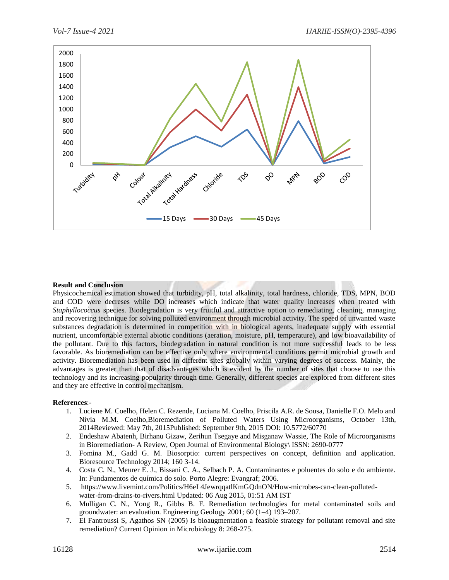

## **Result and Conclusion**

Physicochemical estimation showed that turbidity, pH, total alkalinity, total hardness, chloride, TDS, MPN, BOD and COD were decreses while DO increases which indicate that water quality increases when treated with *Staphyllococcus* species. Biodegradation is very fruitful and attractive option to remediating, cleaning, managing and recovering technique for solving polluted environment through microbial activity. The speed of unwanted waste substances degradation is determined in competition with in biological agents, inadequate supply with essential nutrient, uncomfortable external abiotic conditions (aeration, moisture, pH, temperature), and low bioavailability of the pollutant. Due to this factors, biodegradation in natural condition is not more successful leads to be less favorable. As bioremediation can be effective only where environmental conditions permit microbial growth and activity. Bioremediation has been used in different sites globally within varying degrees of success. Mainly, the advantages is greater than that of disadvantages which is evident by the number of sites that choose to use this technology and its increasing popularity through time. Generally, different species are explored from different sites and they are effective in control mechanism.

## **References**:-

- 1. Luciene M. Coelho, Helen C. Rezende, Luciana M. Coelho, Priscila A.R. de Sousa, Danielle F.O. Melo and Nívia M.M. Coelho,Bioremediation of Polluted Waters Using Microorganisms, October 13th, 2014Reviewed: May 7th, 2015Published: September 9th, 2015 DOI: 10.5772/60770
- 2. Endeshaw Abatenh, Birhanu Gizaw, Zerihun Tsegaye and Misganaw Wassie, The Role of Microorganisms in Bioremediation- A Review, Open Journal of Environmental Biology\ ISSN: 2690-0777
- 3. Fomina M., Gadd G. M. Biosorptio: current perspectives on concept, definition and application. Bioresource Technology 2014; 160 3-14.
- 4. Costa C. N., Meurer E. J., Bissani C. A., Selbach P. A. Contaminantes e poluentes do solo e do ambiente. In: Fundamentos de química do solo. Porto Alegre: Evangraf; 2006.
- 5. [https://www.livemint.com/Politics/H6eL4JewrqqatlKmGQdnON/How-microbes-can-clean-polluted](https://www.livemint.com/Politics/H6eL4JewrqqatlKmGQdnON/How-microbes-can-clean-polluted-water-from-drains-to-rivers.html)[water-from-drains-to-rivers.html](https://www.livemint.com/Politics/H6eL4JewrqqatlKmGQdnON/How-microbes-can-clean-polluted-water-from-drains-to-rivers.html) Updated: 06 Aug 2015, 01:51 AM IST
- 6. Mulligan C. N., Yong R., Gibbs B. F. Remediation technologies for metal contaminated soils and groundwater: an evaluation. Engineering Geology 2001; 60 (1–4) 193–207.
- 7. El Fantroussi S, Agathos SN (2005) Is bioaugmentation a feasible strategy for pollutant removal and site remediation? Current Opinion in Microbiology 8: 268-275.